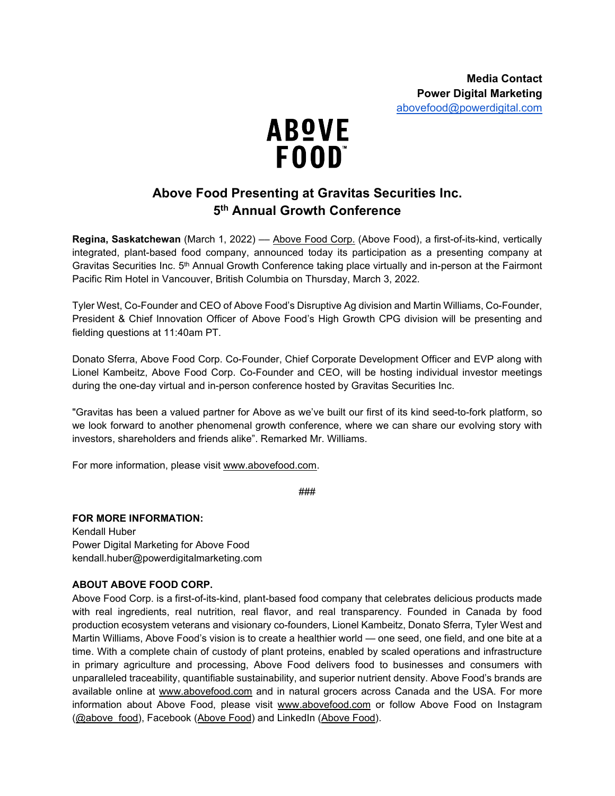

## **Above Food Presenting at Gravitas Securities Inc. 5th Annual Growth Conference**

**Regina, Saskatchewan** (March 1, 2022) –– [Above Food Corp.](https://abovefood.ca/) (Above Food), a first-of-its-kind, vertically integrated, plant-based food company, announced today its participation as a presenting company at Gravitas Securities Inc. 5<sup>th</sup> Annual Growth Conference taking place virtually and in-person at the Fairmont Pacific Rim Hotel in Vancouver, British Columbia on Thursday, March 3, 2022.

Tyler West, Co-Founder and CEO of Above Food's Disruptive Ag division and Martin Williams, Co-Founder, President & Chief Innovation Officer of Above Food's High Growth CPG division will be presenting and fielding questions at 11:40am PT.

Donato Sferra, Above Food Corp. Co-Founder, Chief Corporate Development Officer and EVP along with Lionel Kambeitz, Above Food Corp. Co-Founder and CEO, will be hosting individual investor meetings during the one-day virtual and in-person conference hosted by Gravitas Securities Inc.

"Gravitas has been a valued partner for Above as we've built our first of its kind seed-to-fork platform, so we look forward to another phenomenal growth conference, where we can share our evolving story with investors, shareholders and friends alike". Remarked Mr. Williams.

For more information, please visit [www.abovefood.com.](http://www.abovefood.com/)

###

## **FOR MORE INFORMATION:**

Kendall Huber Power Digital Marketing for Above Food kendall.huber@powerdigitalmarketing.com

## **ABOUT ABOVE FOOD CORP.**

Above Food Corp. is a first-of-its-kind, plant-based food company that celebrates delicious products made with real ingredients, real nutrition, real flavor, and real transparency. Founded in Canada by food production ecosystem veterans and visionary co-founders, Lionel Kambeitz, Donato Sferra, Tyler West and Martin Williams, Above Food's vision is to create a healthier world — one seed, one field, and one bite at a time. With a complete chain of custody of plant proteins, enabled by scaled operations and infrastructure in primary agriculture and processing, Above Food delivers food to businesses and consumers with unparalleled traceability, quantifiable sustainability, and superior nutrient density. Above Food's brands are available online at [www.abovefood.com](http://www.abovefood.com/) and in natural grocers across Canada and the USA. For more information about Above Food, please visit [www.abovefood.com](http://www.abovefood.com/) or follow Above Food on Instagram [\(@above\\_food\)](https://www.instagram.com/above_food/), Facebook [\(Above Food\)](https://www.linkedin.com/company/above-food) and LinkedIn (Above Food).